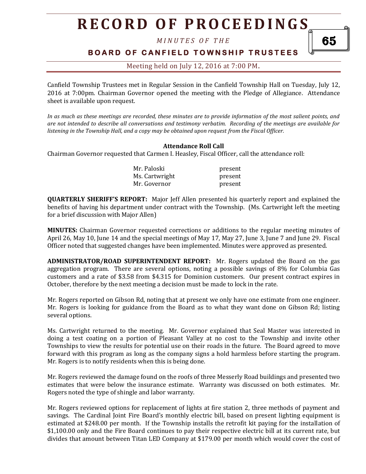*M I N U T E S O F T H E* 

### **BOARD OF CANFIELD TOWNSHIP TRUSTEES**

65

### Meeting held on July 12, 2016 at 7:00 PM**.**

Canfield Township Trustees met in Regular Session in the Canfield Township Hall on Tuesday, July 12, 2016 at 7:00pm. Chairman Governor opened the meeting with the Pledge of Allegiance. Attendance sheet is available upon request.

*In as much as these meetings are recorded, these minutes are to provide information of the most salient points, and are not intended to describe all conversations and testimony verbatim. Recording of the meetings are available for listening in the Township Hall, and a copy may be obtained upon request from the Fiscal Officer.* 

#### **Attendance Roll Call**

Chairman Governor requested that Carmen I. Heasley, Fiscal Officer, call the attendance roll:

| Mr. Paloski    | present |
|----------------|---------|
| Ms. Cartwright | present |
| Mr. Governor   | present |

**QUARTERLY SHERIFF'S REPORT:** Major Jeff Allen presented his quarterly report and explained the benefits of having his department under contract with the Township. (Ms. Cartwright left the meeting for a brief discussion with Major Allen)

**MINUTES:** Chairman Governor requested corrections or additions to the regular meeting minutes of April 26, May 10, June 14 and the special meetings of May 17, May 27, June 3, June 7 and June 29. Fiscal Officer noted that suggested changes have been implemented. Minutes were approved as presented.

**ADMINISTRATOR/ROAD SUPERINTENDENT REPORT:** Mr. Rogers updated the Board on the gas aggregation program. There are several options, noting a possible savings of 8% for Columbia Gas customers and a rate of \$3.58 from \$4.315 for Dominion customers. Our present contract expires in October, therefore by the next meeting a decision must be made to lock in the rate.

Mr. Rogers reported on Gibson Rd, noting that at present we only have one estimate from one engineer. Mr. Rogers is looking for guidance from the Board as to what they want done on Gibson Rd; listing several options.

Ms. Cartwright returned to the meeting. Mr. Governor explained that Seal Master was interested in doing a test coating on a portion of Pleasant Valley at no cost to the Township and invite other Townships to view the results for potential use on their roads in the future. The Board agreed to move forward with this program as long as the company signs a hold harmless before starting the program. Mr. Rogers is to notify residents when this is being done.

Mr. Rogers reviewed the damage found on the roofs of three Messerly Road buildings and presented two estimates that were below the insurance estimate. Warranty was discussed on both estimates. Mr. Rogers noted the type of shingle and labor warranty.

Mr. Rogers reviewed options for replacement of lights at fire station 2, three methods of payment and savings. The Cardinal Joint Fire Board's monthly electric bill, based on present lighting equipment is estimated at \$248.00 per month. If the Township installs the retrofit kit paying for the installation of \$1,100.00 only and the Fire Board continues to pay their respective electric bill at its current rate, but divides that amount between Titan LED Company at \$179.00 per month which would cover the cost of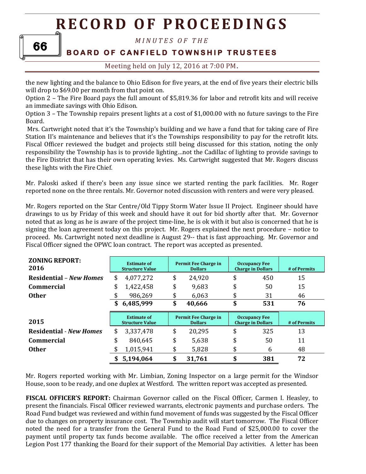# 66

### *M I N U T E S O F T H E*

## **BOARD OF CANFIELD TOWNSHIP TRUSTEES**

### Meeting held on July 12, 2016 at 7:00 PM**.**

the new lighting and the balance to Ohio Edison for five years, at the end of five years their electric bills will drop to \$69.00 per month from that point on.

Option 2 – The Fire Board pays the full amount of \$5,819.36 for labor and retrofit kits and will receive an immediate savings with Ohio Edison.

Option 3 – The Township repairs present lights at a cost of \$1,000.00 with no future savings to the Fire Board.

Mrs. Cartwright noted that it's the Township's building and we have a fund that for taking care of Fire Station II's maintenance and believes that it's the Townships responsibility to pay for the retrofit kits. Fiscal Officer reviewed the budget and projects still being discussed for this station, noting the only responsibility the Township has is to provide lighting…not the Cadillac of lighting to provide savings to the Fire District that has their own operating levies. Ms. Cartwright suggested that Mr. Rogers discuss these lights with the Fire Chief.

Mr. Paloski asked if there's been any issue since we started renting the park facilities. Mr. Roger reported none on the three rentals. Mr. Governor noted discussion with renters and were very pleased.

Mr. Rogers reported on the Star Centre/Old Tippy Storm Water Issue II Project. Engineer should have drawings to us by Friday of this week and should have it out for bid shortly after that. Mr. Governor noted that as long as he is aware of the project time-line, he is ok with it but also is concerned that he is signing the loan agreement today on this project. Mr. Rogers explained the next procedure – notice to proceed. Ms. Cartwright noted next deadline is August 29-- that is fast approaching. Mr. Governor and Fiscal Officer signed the OPWC loan contract. The report was accepted as presented.

| <b>ZONING REPORT:</b><br>2016  | <b>Estimate of</b><br><b>Structure Value</b> | Permit Fee Charge in<br><b>Dollars</b> | <b>Occupancy Fee</b><br><b>Charge in Dollars</b> | # of Permits |
|--------------------------------|----------------------------------------------|----------------------------------------|--------------------------------------------------|--------------|
| <b>Residential – New Homes</b> | \$<br>4,077,272                              | \$<br>24,920                           | \$<br>450                                        | 15           |
| <b>Commercial</b>              | \$<br>1,422,458                              | \$<br>9,683                            | \$<br>50                                         | 15           |
| <b>Other</b>                   | \$<br>986,269                                | \$<br>6,063                            | \$<br>31                                         | 46           |
|                                | \$<br>6,485,999                              | \$<br>40,666                           | \$<br>531                                        | 76           |
|                                |                                              |                                        |                                                  |              |
| 2015                           | <b>Estimate of</b><br><b>Structure Value</b> | Permit Fee Charge in<br><b>Dollars</b> | <b>Occupancy Fee</b><br><b>Charge in Dollars</b> | # of Permits |
| <b>Residential - New Homes</b> | \$<br>3,337,478                              | \$<br>20,295                           | \$<br>325                                        | 13           |
| <b>Commercial</b>              | \$<br>840,645                                | \$<br>5,638                            | \$<br>50                                         | 11           |
| <b>Other</b>                   | 1,015,941                                    | \$<br>5,828                            | \$<br>6                                          | 48           |

Mr. Rogers reported working with Mr. Limbian, Zoning Inspector on a large permit for the Windsor House, soon to be ready, and one duplex at Westford. The written report was accepted as presented.

**FISCAL OFFICER'S REPORT:** Chairman Governor called on the Fiscal Officer, Carmen I. Heasley, to present the financials. Fiscal Officer reviewed warrants, electronic payments and purchase orders. The Road Fund budget was reviewed and within fund movement of funds was suggested by the Fiscal Officer due to changes on property insurance cost. The Township audit will start tomorrow. The Fiscal Officer noted the need for a transfer from the General Fund to the Road Fund of \$25,000.00 to cover the payment until property tax funds become available. The office received a letter from the American Legion Post 177 thanking the Board for their support of the Memorial Day activities. A letter has been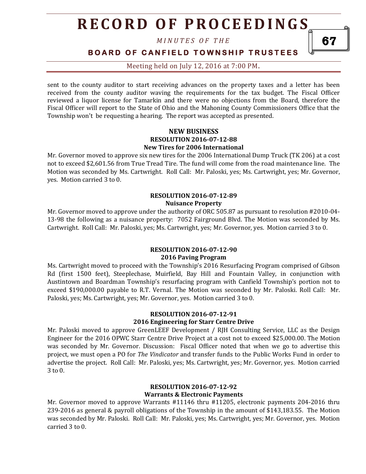*M I N U T E S O F T H E* 

**B O A R D O F C A N F I E L D T O W N S H I P T R U S T E E S** 

Meeting held on July 12, 2016 at 7:00 PM**.**

sent to the county auditor to start receiving advances on the property taxes and a letter has been received from the county auditor waving the requirements for the tax budget. The Fiscal Officer reviewed a liquor license for Tamarkin and there were no objections from the Board, therefore the Fiscal Officer will report to the State of Ohio and the Mahoning County Commissioners Office that the Township won't be requesting a hearing. The report was accepted as presented.

#### **NEW BUSINESS RESOLUTION 2016-07-12-88 New Tires for 2006 International**

Mr. Governor moved to approve six new tires for the 2006 International Dump Truck (TK 206) at a cost not to exceed \$2,601.56 from True Tread Tire. The fund will come from the road maintenance line. The Motion was seconded by Ms. Cartwright. Roll Call: Mr. Paloski, yes; Ms. Cartwright, yes; Mr. Governor, yes. Motion carried 3 to 0.

#### **RESOLUTION 2016-07-12-89 Nuisance Property**

Mr. Governor moved to approve under the authority of ORC 505.87 as pursuant to resolution #2010-04- 13-98 the following as a nuisance property: 7052 Fairground Blvd. The Motion was seconded by Ms. Cartwright. Roll Call: Mr. Paloski, yes; Ms. Cartwright, yes; Mr. Governor, yes. Motion carried 3 to 0.

#### **RESOLUTION 2016-07-12-90 2016 Paving Program**

Ms. Cartwright moved to proceed with the Township's 2016 Resurfacing Program comprised of Gibson Rd (first 1500 feet), Steeplechase, Muirfield, Bay Hill and Fountain Valley, in conjunction with Austintown and Boardman Township's resurfacing program with Canfield Township's portion not to exceed \$190,000.00 payable to R.T. Vernal. The Motion was seconded by Mr. Paloski. Roll Call: Mr. Paloski, yes; Ms. Cartwright, yes; Mr. Governor, yes. Motion carried 3 to 0.

#### **RESOLUTION 2016-07-12-91 2016 Engineering for Starr Centre Drive**

Mr. Paloski moved to approve GreenLEEF Development / RJH Consulting Service, LLC as the Design Engineer for the 2016 OPWC Starr Centre Drive Project at a cost not to exceed \$25,000.00. The Motion was seconded by Mr. Governor. Discussion: Fiscal Officer noted that when we go to advertise this project, we must open a PO for *The Vindicator* and transfer funds to the Public Works Fund in order to advertise the project. Roll Call: Mr. Paloski, yes; Ms. Cartwright, yes; Mr. Governor, yes. Motion carried 3 to 0.

#### **RESOLUTION 2016-07-12-92 Warrants & Electronic Payments**

Mr. Governor moved to approve Warrants #11146 thru #11205, electronic payments 204-2016 thru 239-2016 as general & payroll obligations of the Township in the amount of \$143,183.55. The Motion was seconded by Mr. Paloski. Roll Call: Mr. Paloski, yes; Ms. Cartwright, yes; Mr. Governor, yes. Motion carried 3 to 0.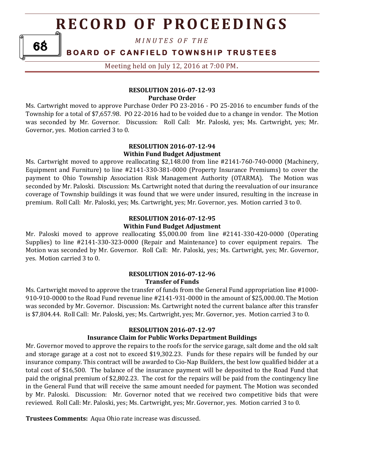*M I N U T E S O F T H E* 

### **BOARD OF CANFIELD TOWNSHIP TRUSTEES**

68

Meeting held on July 12, 2016 at 7:00 PM**.**

#### **RESOLUTION 2016-07-12-93 Purchase Order**

Ms. Cartwright moved to approve Purchase Order PO 23-2016 - PO 25-2016 to encumber funds of the Township for a total of \$7,657.98. PO 22-2016 had to be voided due to a change in vendor. The Motion was seconded by Mr. Governor. Discussion: Roll Call: Mr. Paloski, yes; Ms. Cartwright, yes; Mr. Governor, yes. Motion carried 3 to 0.

#### **RESOLUTION 2016-07-12-94 Within Fund Budget Adjustment**

Ms. Cartwright moved to approve reallocating \$2,148.00 from line #2141-760-740-0000 (Machinery, Equipment and Furniture) to line #2141-330-381-0000 (Property Insurance Premiums) to cover the payment to Ohio Township Association Risk Management Authority (OTARMA). The Motion was seconded by Mr. Paloski. Discussion: Ms. Cartwright noted that during the reevaluation of our insurance coverage of Township buildings it was found that we were under insured, resulting in the increase in premium. Roll Call: Mr. Paloski, yes; Ms. Cartwright, yes; Mr. Governor, yes. Motion carried 3 to 0.

#### **RESOLUTION 2016-07-12-95 Within Fund Budget Adjustment**

Mr. Paloski moved to approve reallocating \$5,000.00 from line #2141-330-420-0000 (Operating Supplies) to line #2141-330-323-0000 (Repair and Maintenance) to cover equipment repairs. The Motion was seconded by Mr. Governor. Roll Call: Mr. Paloski, yes; Ms. Cartwright, yes; Mr. Governor, yes. Motion carried 3 to 0.

#### **RESOLUTION 2016-07-12-96 Transfer of Funds**

Ms. Cartwright moved to approve the transfer of funds from the General Fund appropriation line #1000- 910-910-0000 to the Road Fund revenue line #2141-931-0000 in the amount of \$25,000.00. The Motion was seconded by Mr. Governor. Discussion: Ms. Cartwright noted the current balance after this transfer is \$7,804.44. Roll Call: Mr. Paloski, yes; Ms. Cartwright, yes; Mr. Governor, yes. Motion carried 3 to 0.

#### **RESOLUTION 2016-07-12-97**

#### **Insurance Claim for Public Works Department Buildings**

Mr. Governor moved to approve the repairs to the roofs for the service garage, salt dome and the old salt and storage garage at a cost not to exceed \$19,302.23. Funds for these repairs will be funded by our insurance company. This contract will be awarded to Cio-Nap Builders, the best low qualified bidder at a total cost of \$16,500. The balance of the insurance payment will be deposited to the Road Fund that paid the original premium of \$2,802.23. The cost for the repairs will be paid from the contingency line in the General Fund that will receive the same amount needed for payment. The Motion was seconded by Mr. Paloski. Discussion: Mr. Governor noted that we received two competitive bids that were reviewed. Roll Call: Mr. Paloski, yes; Ms. Cartwright, yes; Mr. Governor, yes. Motion carried 3 to 0.

**Trustees Comments:** Aqua Ohio rate increase was discussed.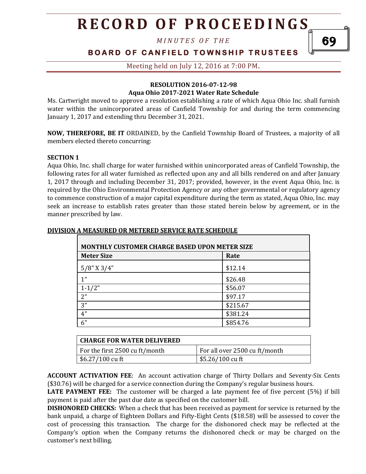*M I N U T E S O F T H E* 

### **BOARD OF CANFIELD TOWNSHIP TRUSTEES**

Meeting held on July 12, 2016 at 7:00 PM**.**

#### **RESOLUTION 2016-07-12-98 Aqua Ohio 2017-2021 Water Rate Schedule**

Ms. Cartwright moved to approve a resolution establishing a rate of which Aqua Ohio Inc. shall furnish water within the unincorporated areas of Canfield Township for and during the term commencing January 1, 2017 and extending thru December 31, 2021.

**NOW, THEREFORE, BE IT** ORDAINED, by the Canfield Township Board of Trustees, a majority of all members elected thereto concurring:

#### **SECTION 1**

Aqua Ohio, Inc. shall charge for water furnished within unincorporated areas of Canfield Township, the following rates for all water furnished as reflected upon any and all bills rendered on and after January 1, 2017 through and including December 31, 2017; provided, however, in the event Aqua Ohio, Inc. is required by the Ohio Environmental Protection Agency or any other governmental or regulatory agency to commence construction of a major capital expenditure during the term as stated, Aqua Ohio, Inc. may seek an increase to establish rates greater than those stated herein below by agreement, or in the manner prescribed by law.

| <b>MONTHLY CUSTOMER CHARGE BASED UPON METER SIZE</b> |          |  |
|------------------------------------------------------|----------|--|
| <b>Meter Size</b>                                    | Rate     |  |
| $5/8$ " X $3/4$ "                                    | \$12.14  |  |
| 1"                                                   | \$26.48  |  |
| $1 - 1/2"$                                           | \$56.07  |  |
| 2"                                                   | \$97.17  |  |
| 3"                                                   | \$215.67 |  |
| 4"                                                   | \$381.24 |  |
| 6"                                                   | \$854.76 |  |

#### **DIVISION A MEASURED OR METERED SERVICE RATE SCHEDULE**

| <b>CHARGE FOR WATER DELIVERED</b> |                               |
|-----------------------------------|-------------------------------|
| For the first 2500 cu ft/month    | For all over 2500 cu ft/month |
| $$6.27/100$ cu ft                 | \$5.26/100 cu ft              |

**ACCOUNT ACTIVATION FEE**: An account activation charge of Thirty Dollars and Seventy-Six Cents (\$30.76) will be charged for a service connection during the Company's regular business hours.

**LATE PAYMENT FEE:** The customer will be charged a late payment fee of five percent (5%) if bill payment is paid after the past due date as specified on the customer bill.

**DISHONORED CHECKS:** When a check that has been received as payment for service is returned by the bank unpaid, a charge of Eighteen Dollars and Fifty-Eight Cents (\$18.58) will be assessed to cover the cost of processing this transaction. The charge for the dishonored check may be reflected at the Company's option when the Company returns the dishonored check or may be charged on the customer's next billing.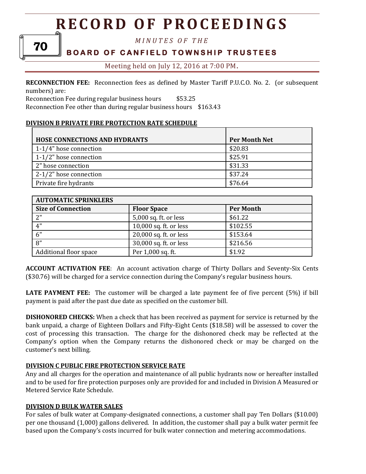70

*M I N U T E S O F T H E* 

## **BOARD OF CANFIELD TOWNSHIP TRUSTEES**

Meeting held on July 12, 2016 at 7:00 PM**.**

**RECONNECTION FEE:** Reconnection fees as defined by Master Tariff P.U.C.O. No. 2. (or subsequent numbers) are:

Reconnection Fee during regular business hours \$53.25

Reconnection Fee other than during regular business hours \$163.43

#### **DIVISION B PRIVATE FIRE PROTECTION RATE SCHEDULE**

| <b>HOSE CONNECTIONS AND HYDRANTS</b> | <b>Per Month Net</b> |
|--------------------------------------|----------------------|
| 1-1/4" hose connection               | \$20.83              |
| 1-1/2" hose connection               | \$25.91              |
| 2" hose connection                   | \$31.33              |
| 2-1/2" hose connection               | \$37.24              |
| Private fire hydrants                | \$76.64              |

| <b>AUTOMATIC SPRINKLERS</b> |                        |                  |
|-----------------------------|------------------------|------------------|
| <b>Size of Connection</b>   | <b>Floor Space</b>     | <b>Per Month</b> |
| 2"                          | 5,000 sq. ft. or less  | \$61.22          |
| 4"                          | 10,000 sq. ft. or less | \$102.55         |
| 6"                          | 20,000 sq. ft. or less | \$153.64         |
| 8"                          | 30,000 sq. ft. or less | \$216.56         |
| Additional floor space      | Per 1,000 sq. ft.      | \$1.92           |

**ACCOUNT ACTIVATION FEE**: An account activation charge of Thirty Dollars and Seventy-Six Cents (\$30.76) will be charged for a service connection during the Company's regular business hours.

**LATE PAYMENT FEE:** The customer will be charged a late payment fee of five percent (5%) if bill payment is paid after the past due date as specified on the customer bill.

**DISHONORED CHECKS:** When a check that has been received as payment for service is returned by the bank unpaid, a charge of Eighteen Dollars and Fifty-Eight Cents (\$18.58) will be assessed to cover the cost of processing this transaction. The charge for the dishonored check may be reflected at the Company's option when the Company returns the dishonored check or may be charged on the customer's next billing.

#### **DIVISION C PUBLIC FIRE PROTECTION SERVICE RATE**

Any and all charges for the operation and maintenance of all public hydrants now or hereafter installed and to be used for fire protection purposes only are provided for and included in Division A Measured or Metered Service Rate Schedule.

#### **DIVISION D BULK WATER SALES**

For sales of bulk water at Company-designated connections, a customer shall pay Ten Dollars (\$10.00) per one thousand (1,000) gallons delivered. In addition, the customer shall pay a bulk water permit fee based upon the Company's costs incurred for bulk water connection and metering accommodations.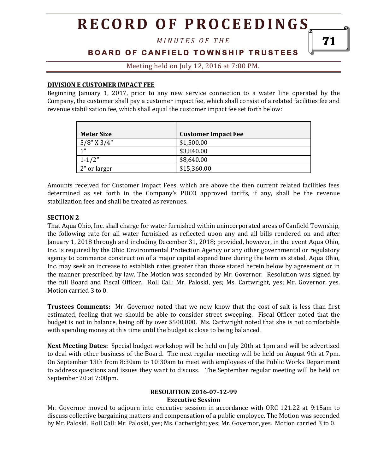*M I N U T E S O F T H E* 

### **B O A R D O F C A N F I E L D T O W N S H I P T R U S T E E S**

Meeting held on July 12, 2016 at 7:00 PM**.**

#### **DIVISION E CUSTOMER IMPACT FEE**

Beginning January 1, 2017, prior to any new service connection to a water line operated by the Company, the customer shall pay a customer impact fee, which shall consist of a related facilities fee and revenue stabilization fee, which shall equal the customer impact fee set forth below:

| <b>Meter Size</b> | <b>Customer Impact Fee</b> |
|-------------------|----------------------------|
| $5/8$ " X 3/4"    | \$1,500.00                 |
| 1 <sup>11</sup>   | \$3,840.00                 |
| $1 - 1/2"$        | \$8,640.00                 |
| 2" or larger      | \$15,360.00                |

Amounts received for Customer Impact Fees, which are above the then current related facilities fees determined as set forth in the Company's PUCO approved tariffs, if any, shall be the revenue stabilization fees and shall be treated as revenues.

#### **SECTION 2**

That Aqua Ohio, Inc. shall charge for water furnished within unincorporated areas of Canfield Township, the following rate for all water furnished as reflected upon any and all bills rendered on and after January 1, 2018 through and including December 31, 2018; provided, however, in the event Aqua Ohio, Inc. is required by the Ohio Environmental Protection Agency or any other governmental or regulatory agency to commence construction of a major capital expenditure during the term as stated, Aqua Ohio, Inc. may seek an increase to establish rates greater than those stated herein below by agreement or in the manner prescribed by law. The Motion was seconded by Mr. Governor. Resolution was signed by the full Board and Fiscal Officer. Roll Call: Mr. Paloski, yes; Ms. Cartwright, yes; Mr. Governor, yes. Motion carried 3 to 0.

**Trustees Comments:** Mr. Governor noted that we now know that the cost of salt is less than first estimated, feeling that we should be able to consider street sweeping. Fiscal Officer noted that the budget is not in balance, being off by over \$500,000. Ms. Cartwright noted that she is not comfortable with spending money at this time until the budget is close to being balanced.

**Next Meeting Dates:** Special budget workshop will be held on July 20th at 1pm and will be advertised to deal with other business of the Board. The next regular meeting will be held on August 9th at 7pm. On September 13th from 8:30am to 10:30am to meet with employees of the Public Works Department to address questions and issues they want to discuss. The September regular meeting will be held on September 20 at 7:00pm.

#### **RESOLUTION 2016-07-12-99 Executive Session**

Mr. Governor moved to adjourn into executive session in accordance with ORC 121.22 at 9:15am to discuss collective bargaining matters and compensation of a public employee. The Motion was seconded by Mr. Paloski. Roll Call: Mr. Paloski, yes; Ms. Cartwright; yes; Mr. Governor, yes. Motion carried 3 to 0.